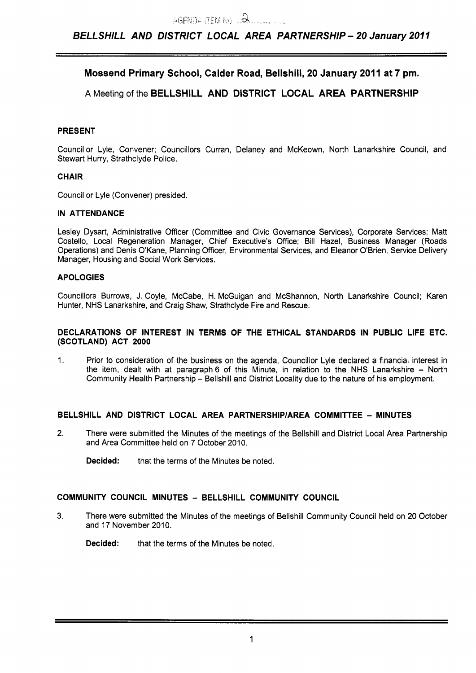# **Mossend Primary School, Calder Road, Bellshill, 20 January 2011 at 7 pm.**

# **A** Meeting of the **BELLSHILL AND DISTRICT LOCAL AREA PARTNERSHIP**

# **PRESENT**

Councillor Lyle, Convener; Councillors Curran, Delaney and McKeown, North Lanarkshire Council, and Stewart Hurry, Strathclyde Police.

# **CHAIR**

Councillor Lyle (Convener) presided.

# **IN ATTENDANCE**

Lesley Dysart, Administrative Officer (Committee and Civic Governance Services), Corporate Services; Matt Costello, Local Regeneration Manager, Chief Executive's Office; Bill Hazel, Business Manager (Roads Operations) and Denis O'Kane, Planning Officer, Environmental Services, and Eleanor O'Brien, Service Delivery Manager, Housing and Social Work Services.

#### **APOLOGIES**

Councillors Burrows, J. Coyle, McCabe, H. McGuigan and McShannon, North Lanarkshire Council; Karen Hunter, NHS Lanarkshire, and Craig Shaw, Strathclyde Fire and Rescue.

#### **DECLARATIONS OF INTEREST IN TERMS OF THE ETHICAL STANDARDS IN PUBLIC LIFE ETC. (SCOTLAND) ACT 2000**

1. Prior to consideration of the business on the agenda, Councillor Lyle declared a financial interest in the item, dealt with at paragraph 6 of this Minute, in relation to the NHS Lanarkshire - North Community Health Partnership - Bellshill and District Locality due to the nature of his employment.

# **BELLSHILL AND DISTRICT LOCAL AREA PARTNERSHlPlAREA COMMITTEE** - **MINUTES**

- 2. There were submitted the Minutes of the meetings of the Bellshill and District Local Area Partnership and Area Committee held on 7 October 2010.
	- **Decided:** that the terms of the Minutes be noted.

# **COMMUNITY COUNCIL MINUTES** - **BELLSHILL COMMUNITY COUNCIL**

**3.** There were submitted the Minutes of the meetings of Bellshill Community Council held on 20 October and 17 November 2010.

**Decided:** that the terms of the Minutes be noted.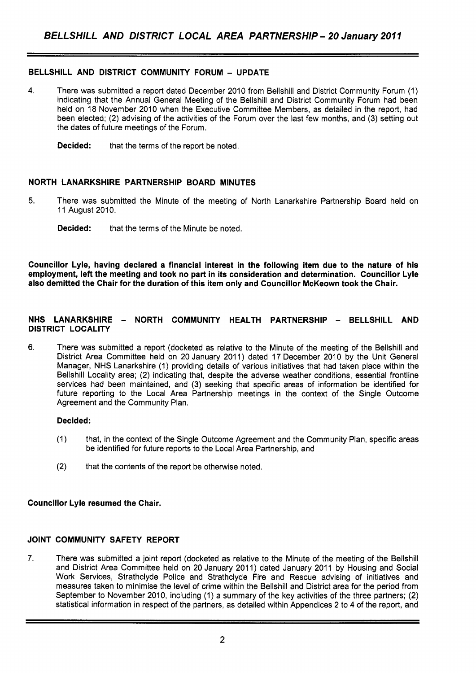# **BELLSHILL AND DISTRICT COMMUNITY FORUM** - **UPDATE**

- **4.** There was submitted a report dated December 2010 from Bellshill and District Community Forum (1) indicating that the Annual General Meeting of the Bellshill and District Community Forum had been held on 18 November 2010 when the Executive Committee Members, as detailed in the report, had been elected; (2) advising of the activities of the Forum over the last few months, and (3) setting out the dates of future meetings of the Forum.
	- **Decided:** that the terms of the report be noted.

# **NORTH LANARKSHIRE PARTNERSHIP BOARD MINUTES**

- **5.** There was submitted the Minute of the meeting of North Lanarkshire Partnership Board held on 11 August 2010.
	- **Decided:** that the terms of the Minute be noted.

**Councillor Lyle, having declared a financial interest in the following item due to the nature of his employment, left the meeting and took no part in its consideration and determination. Councillor Lyle also demitted the Chair for the duration of this item only and Councillor McKeown took the Chair.** 

### **NHS LANARKSHIRE** - **NORTH COMMUNITY HEALTH PARTNERSHIP** - **BELLSHILL AND DISTRICT LOCALITY**

**6.** There was submitted a report (docketed as relative to the Minute of the meeting of the Bellshill and District Area Committee held on 20 January 2011) dated 17 December 2010 by the Unit General Manager, NHS Lanarkshire (1) providing details of various initiatives that had taken place within the Bellshill Locality area; (2) indicating that, despite the adverse weather conditions, essential frontline services had been maintained, and (3) seeking that specific areas of information be identified for future reporting to the Local Area Partnership meetings in the context of the Single Outcome Agreement and the Community Plan.

#### **Decided:**

- (1) that, in the context of the Single Outcome Agreement and the Community Plan, specific areas be identified for future reports to the Local Area Partnership, and
- (2) that the contents of the report be otherwise noted.

# **Councillor Lyle resumed the Chair.**

#### **JOINT COMMUNITY SAFETY REPORT**

7. There was submitted a joint report (docketed as relative to the Minute of the meeting of the Bellshill and District Area Committee held on 20 January 2011) dated January 2011 by Housing and Social Work Services, Strathclyde Police and Strathclyde Fire and Rescue advising of initiatives and measures taken to minimise the level of crime within the Bellshill and District area for the period from September to November 2010, including (1) a summary of the key activities of the three partners; (2) statistical information in respect of the partners, as detailed within Appendices 2 to 4 of the report, and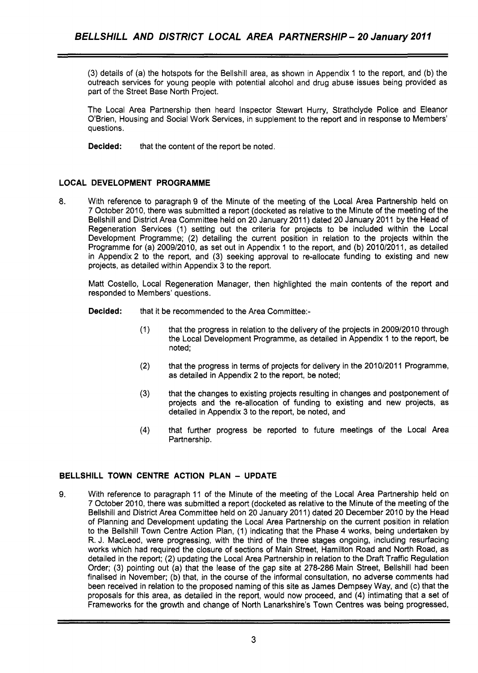(3) details of (a) the hotspots for the Bellshill area, as shown in Appendix 1 to the report, and (b) the outreach services for young people with potential alcohol and drug abuse issues being provided as part of the Street Base North Project.

The Local Area Partnership then heard Inspector Stewart Hurry, Strathclyde Police and Eleanor O'Brien, Housing and Social Work Services, in supplement to the report and in response to Members' questions.

**Decided:** that the content of the report be noted.

# **LOCAL DEVELOPMENT PROGRAMME**

*8.* With reference to paragraph 9 of the Minute of the meeting of the Local Area Partnership held on 7 October 2010, there was submitted a report (docketed as relative to the Minute of the meeting of the Bellshill and District Area Committee held on 20 January 2011) dated 20 January 2011 by the Head of Regeneration Services (1) setting out the criteria for projects to be included within the Local Development Programme; (2) detailing the current position in relation to the projects within the Programme for (a) 2009/2010, as set out in Appendix 1 to the report, and (b) 2010/2011, as detailed in Appendix 2 to the report, and (3) seeking approval to re-allocate funding to existing and new projects, as detailed within Appendix 3 to the report.

Matt Costello, Local Regeneration Manager, then highlighted the main contents of the report and responded to Members' questions.

- **Decided:** that it be recommended to the Area Committee:-
	- (1) that the progress in relation to the delivery of the projects in 2009/2010 through the Local Development Programme, as detailed in Appendix 1 to the report, be noted;
	- (2) that the progress in terms of projects for delivery in the 2010/2011 Programme, as detailed in Appendix 2 to the report, be noted;
	- **(3)** that the changes to existing projects resulting in changes and postponement of projects and the re-allocation of funding to existing and new projects, as detailed in Appendix 3 to the report, be noted, and
	- **(4)** that further progress be reported to future meetings of the Local Area Partnership.

# **BELLSHILL TOWN CENTRE ACTION PLAN** - **UPDATE**

**9.** With reference to paragraph 11 of the Minute of the meeting of the Local Area Partnership held on 7 October 2010, there was submitted a report (docketed as relative to the Minute of the meeting of the Bellshill and District Area Committee held on 20 January 2011) dated 20 December 2010 by the Head of Planning and Development updating the Local Area Partnership on the current position in relation to the Bellshill Town Centre Action Plan, (1) indicating that the Phase **4** works, being undertaken by R. J. MacLeod, were progressing, with the third of the three stages ongoing, including resurfacing works which had required the closure of sections of Main Street, Hamilton Road and North Road, as detailed in the report; (2) updating the Local Area Partnership in relation to the Draft Traffic Regulation Order; (3) pointing out (a) that the lease of the gap site at 278-286 Main Street, Bellshill had been finalised in November; (b) that, in the course of the informal consultation, no adverse comments had been received in relation to the proposed naming of this site as James Dempsey Way, and (c) that the proposals for this area, as detailed in the report, would now proceed, and **(4)** intimating that a set of Frameworks for the growth and change of North Lanarkshire's Town Centres was being progressed,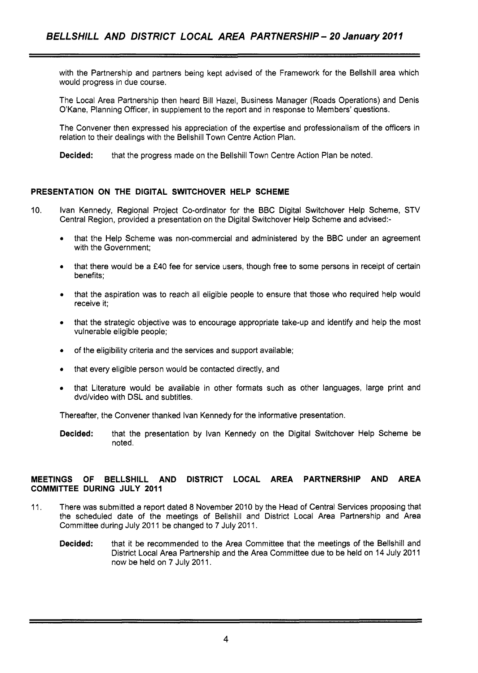with the Partnership and partners being kept advised of the Framework for the Bellshill area which would progress in due course.

The Local Area Partnership then heard Bill Hazel, Business Manager (Roads Operations) and Denis O'Kane, Planning Officer, in supplement to the report and in response to Members' questions.

The Convener then expressed his appreciation of the expertise and professionalism of the officers in relation to their dealings with the Bellshill Town Centre Action Plan.

**Decided:** that the progress made on the Bellshill Town Centre Action Plan be noted.

# **PRESENTATION ON THE DIGITAL SWITCHOVER HELP SCHEME**

- 10. lvan Kennedy, Regional Project Co-ordinator for the BBC Digital Switchover Help Scheme, STV Central Region, provided a presentation on the Digital Switchover Help Scheme and advised:-
	- *<sup>0</sup>*that the Help Scheme was non-commercial and administered by the BBC under an agreement with the Government:
	- *<sup>0</sup>*that there would be a **f40** fee for service users, though free to some persons in receipt of certain benefits:
	- that the aspiration was to reach all eligible people to ensure that those who required help would receive it;
	- that the strategic objective was to encourage appropriate take-up and identify and help the most vulnerable eligible people;
	- of the eligibility criteria and the services and support available;
	- that every eligible person would be contacted directly, and
	- that Literature would be available in other formats such as other languages, large print and dvd/video with DSL and subtitles.

Thereafter, the Convener thanked lvan Kennedy for the informative presentation.

**Decided:** that the presentation by lvan Kennedy on the Digital Switchover Help Scheme be noted.

# **MEETINGS OF BELLSHILL AND DISTRICT LOCAL AREA PARTNERSHIP AND AREA COMMITTEE DURING JULY 2011**

- 11. There was submitted a report dated 8 November 2010 by the Head of Central Services proposing that the scheduled date of the meetings of Bellshill and District Local Area Partnership and Area Committee during July 2011 be changed to 7 July 2011.
	- **Decided:** that it be recommended to the Area Committee that the meetings of the Bellshill and District Local Area Partnership and the Area Committee due to be held on 14 July 2011 now be held on 7 July 2011.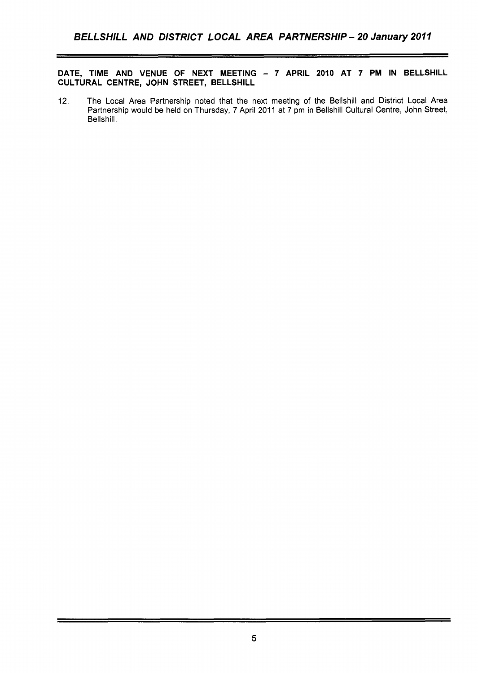**DATE, TIME AND VENUE OF NEXT MEETING** - **7 APRIL 2010 AT 7 PM IN BELLSHILL CULTURAL CENTRE, JOHN STREET, BELLSHILL** 

12. The Local Area Partnership noted that the next meeting of the Bellshill and District Local Area Partnership would be held on Thursday, 7 April 2011 at 7 pm in Bellshill Cultural Centre, John Street, Bellshill.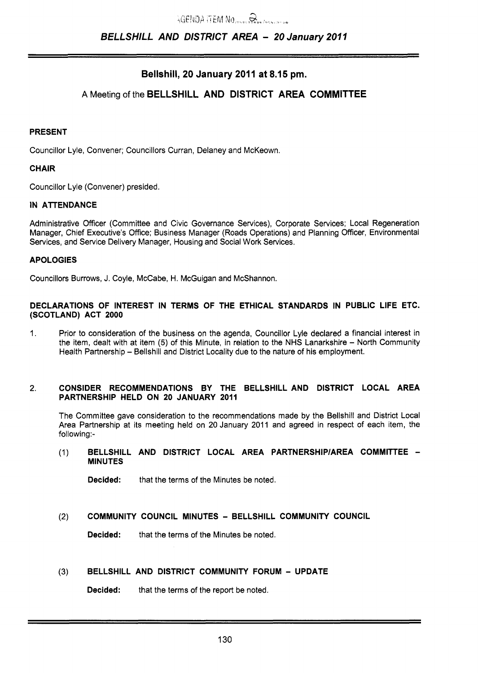# **Bellshill, 20 January 2011 at 8.15 pm.**

# **A** Meeting of the **BELLSHILL AND DISTRICT AREA COMMITTEE**

#### **PRESENT**

Councillor Lyle, Convener; Councillors Curran, Delaney and McKeown.

#### **CHAIR**

Councillor Lyle (Convener) presided.

### **IN ATTENDANCE**

Administrative Officer (Committee and Civic Governance Services), Corporate Services; Local Regeneration Manager, Chief Executive's Office: Business Manager (Roads Operations) and Planning Officer, Environmental Services, and Service Delivery Manager, Housing and Social Work Services.

# **APOLOGIES**

Councillors Burrows, J. Coyle, McCabe, H. McGuigan and McShannon.

### **DECLARATIONS OF INTEREST IN TERMS OF THE ETHICAL STANDARDS IN PUBLIC LIFE ETC. (SCOTLAND) ACT 2000**

1. Prior to consideration of the business on the agenda, Councillor Lyle declared a financial interest in the item, dealt with at item (5) of this Minute, in relation to the NHS Lanarkshire - North Community Health Partnership - Bellshill and District Locality due to the nature of his employment.

# 2. **CONSIDER RECOMMENDATIONS BY THE BELLSHILL AND DISTRICT LOCAL AREA PARTNERSHIP HELD ON 20 JANUARY 2011**

The Committee gave consideration to the recommendations made by the Bellshill and District Local Area Partnership at its meeting held on 20 January 2011 and agreed in respect of each item, the following:-

# (1) **BELLSHILL AND DISTRICT LOCAL AREA PARTNERSHIPlAREA COMMITTEE** - **MINUTES**

**Decided:** that the terms of the Minutes be noted.

# **(2) COMMUNITY COUNCIL MINUTES** - **BELLSHILL COMMUNITY COUNCIL**

**Decided:** that the terms of the Minutes be noted.

# **(3) BELLSHILL AND DISTRICT COMMUNITY FORUM** - **UPDATE**

**Decided:** that the terms of the report be noted.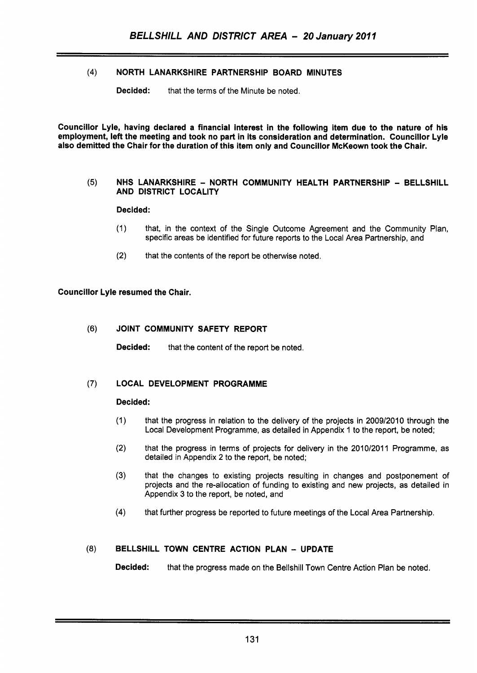# **(4)** NORTH LANARKSHIRE PARTNERSHIP BOARD MINUTES

**Decided:** that the terms of the Minute be noted.

Councillor Lyle, having declared a financial interest in the following item due to the nature of his employment, left the meeting and took no part in its consideration and determination. Councillor Lyle also demitted the Chair for the duration of this item only and Councillor McKeown took the Chair.

### **(5)** NHS LANARKSHIRE - NORTH COMMUNITY HEALTH PARTNERSHIP - BELLSHILL AND DISTRICT LOCALITY

# Decided:

- (1) that, in the context of the Single Outcome Agreement and the Community Plan, specific areas be identified for future reports to the Local Area Partnership, and
- (2) that the contents of the report be otherwise noted.

# Councillor Lyle resumed the Chair.

#### (6) JOINT COMMUNITY SAFETY REPORT

Decided: that the content of the report be noted.

# (7) LOCAL DEVELOPMENT PROGRAMME

#### Decided:

- (1) that the progress in relation to the delivery of the projects in 2009/2010 through the Local Development Programme, as detailed in Appendix 1 to the report, be noted;
- (2) that the progress in terms of projects for delivery in the 2010/2011 Programme, as detailed in Appendix **2** to the report, be noted;
- **(3)** that the changes to existing projects resulting in changes and postponement of projects and the re-allocation of funding to existing and new projects, as detailed in Appendix 3 to the report, be noted, and
- **(4)** that further progress be reported to future meetings of the Local Area Partnership.

# **(8)** BELLSHILL TOWN CENTRE ACTION PLAN - UPDATE

Decided: that the progress made on the Bellshill Town Centre Action Plan be noted.